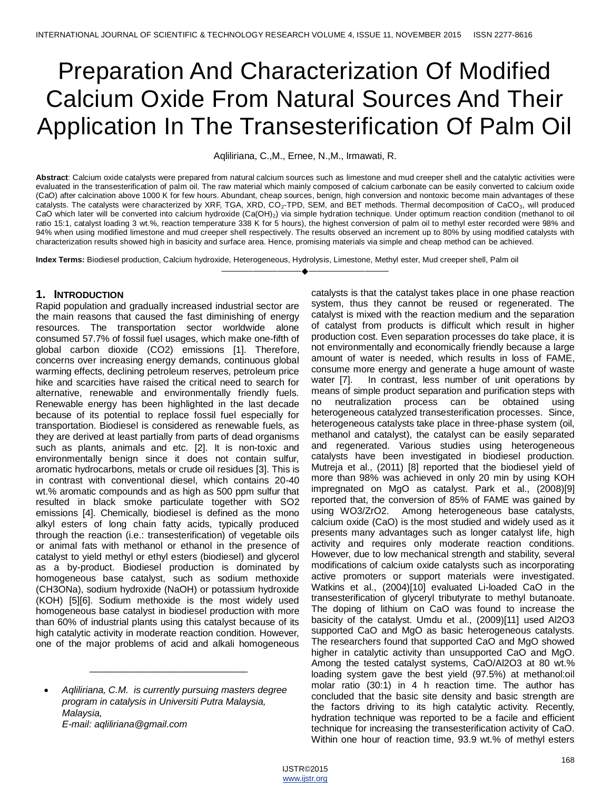# Preparation And Characterization Of Modified Calcium Oxide From Natural Sources And Their Application In The Transesterification Of Palm Oil

Aqliliriana, C.,M., Ernee, N.,M., Irmawati, R.

**Abstract**: Calcium oxide catalysts were prepared from natural calcium sources such as limestone and mud creeper shell and the catalytic activities were evaluated in the transesterification of palm oil. The raw material which mainly composed of calcium carbonate can be easily converted to calcium oxide (CaO) after calcination above 1000 K for few hours. Abundant, cheap sources, benign, high conversion and nontoxic become main advantages of these catalysts. The catalysts were characterized by XRF, TGA, XRD, CO<sub>2</sub>-TPD, SEM, and BET methods. Thermal decomposition of CaCO<sub>3</sub>, will produced CaO which later will be converted into calcium hydroxide (Ca(OH)2) via simple hydration technique. Under optimum reaction condition (methanol to oil ratio 15:1, catalyst loading 3 wt.%, reaction temperature 338 K for 5 hours), the highest conversion of palm oil to methyl ester recorded were 98% and 94% when using modified limestone and mud creeper shell respectively. The results observed an increment up to 80% by using modified catalysts with characterization results showed high in basicity and surface area. Hence, promising materials via simple and cheap method can be achieved.

————————————————————

**Index Terms:** Biodiesel production, Calcium hydroxide, Heterogeneous, Hydrolysis, Limestone, Methyl ester, Mud creeper shell, Palm oil

# **1. INTRODUCTION**

Rapid population and gradually increased industrial sector are the main reasons that caused the fast diminishing of energy resources. The transportation sector worldwide alone consumed 57.7% of fossil fuel usages, which make one-fifth of global carbon dioxide (CO2) emissions [1]. Therefore, concerns over increasing energy demands, continuous global warming effects, declining petroleum reserves, petroleum price hike and scarcities have raised the critical need to search for alternative, renewable and environmentally friendly fuels. Renewable energy has been highlighted in the last decade because of its potential to replace fossil fuel especially for transportation. Biodiesel is considered as renewable fuels, as they are derived at least partially from parts of dead organisms such as plants, animals and etc. [2]. It is non-toxic and environmentally benign since it does not contain sulfur, aromatic hydrocarbons, metals or crude oil residues [3]. This is in contrast with conventional diesel, which contains 20-40 wt.% aromatic compounds and as high as 500 ppm sulfur that resulted in black smoke particulate together with SO2 emissions [4]. Chemically, biodiesel is defined as the mono alkyl esters of long chain fatty acids, typically produced through the reaction (i.e.: transesterification) of vegetable oils or animal fats with methanol or ethanol in the presence of catalyst to yield methyl or ethyl esters (biodiesel) and glycerol as a by-product. Biodiesel production is dominated by homogeneous base catalyst, such as sodium methoxide (CH3ONa), sodium hydroxide (NaOH) or potassium hydroxide (KOH) [5][6]. Sodium methoxide is the most widely used homogeneous base catalyst in biodiesel production with more than 60% of industrial plants using this catalyst because of its high catalytic activity in moderate reaction condition. However, one of the major problems of acid and alkali homogeneous

 *Aqliliriana, C.M. is currently pursuing masters degree program in catalysis in Universiti Putra Malaysia, Malaysia, E-mail: aqliliriana@gmail.com*

\_\_\_\_\_\_\_\_\_\_\_\_\_\_\_\_\_\_\_\_\_\_\_\_\_\_\_\_\_\_

catalysts is that the catalyst takes place in one phase reaction system, thus they cannot be reused or regenerated. The catalyst is mixed with the reaction medium and the separation of catalyst from products is difficult which result in higher production cost. Even separation processes do take place, it is not environmentally and economically friendly because a large amount of water is needed, which results in loss of FAME, consume more energy and generate a huge amount of waste water [7]. In contrast, less number of unit operations by means of simple product separation and purification steps with no neutralization process can be obtained using heterogeneous catalyzed transesterification processes. Since, heterogeneous catalysts take place in three-phase system (oil, methanol and catalyst), the catalyst can be easily separated and regenerated. Various studies using heterogeneous catalysts have been investigated in biodiesel production. Mutreja et al., (2011) [8] reported that the biodiesel yield of more than 98% was achieved in only 20 min by using KOH impregnated on MgO as catalyst. Park et al., (2008)[9] reported that, the conversion of 85% of FAME was gained by using WO3/ZrO2. Among heterogeneous base catalysts, calcium oxide (CaO) is the most studied and widely used as it presents many advantages such as longer catalyst life, high activity and requires only moderate reaction conditions. However, due to low mechanical strength and stability, several modifications of calcium oxide catalysts such as incorporating active promoters or support materials were investigated. Watkins et al., (2004)[10] evaluated Li-loaded CaO in the transesterification of glyceryl tributyrate to methyl butanoate. The doping of lithium on CaO was found to increase the basicity of the catalyst. Umdu et al., (2009)[11] used Al2O3 supported CaO and MgO as basic heterogeneous catalysts. The researchers found that supported CaO and MgO showed higher in catalytic activity than unsupported CaO and MgO. Among the tested catalyst systems, CaO/Al2O3 at 80 wt.% loading system gave the best yield (97.5%) at methanol:oil molar ratio (30:1) in 4 h reaction time. The author has concluded that the basic site density and basic strength are the factors driving to its high catalytic activity. Recently, hydration technique was reported to be a facile and efficient technique for increasing the transesterification activity of CaO. Within one hour of reaction time, 93.9 wt.% of methyl esters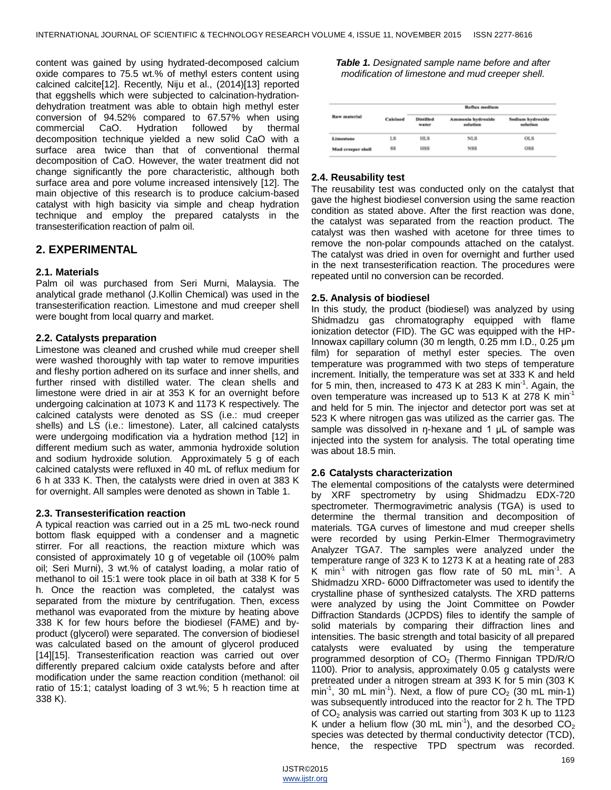content was gained by using hydrated-decomposed calcium oxide compares to 75.5 wt.% of methyl esters content using calcined calcite[12]. Recently, Niju et al., (2014)[13] reported that eggshells which were subjected to calcination-hydrationdehydration treatment was able to obtain high methyl ester conversion of 94.52% compared to 67.57% when using commercial CaO. Hydration followed by thermal decomposition technique yielded a new solid CaO with a surface area twice than that of conventional thermal decomposition of CaO. However, the water treatment did not change significantly the pore characteristic, although both surface area and pore volume increased intensively [12]. The main objective of this research is to produce calcium-based catalyst with high basicity via simple and cheap hydration technique and employ the prepared catalysts in the transesterification reaction of palm oil.

# **2. EXPERIMENTAL**

# **2.1. Materials**

Palm oil was purchased from Seri Murni, Malaysia. The analytical grade methanol (J.Kollin Chemical) was used in the transesterification reaction. Limestone and mud creeper shell were bought from local quarry and market.

# **2.2. Catalysts preparation**

Limestone was cleaned and crushed while mud creeper shell were washed thoroughly with tap water to remove impurities and fleshy portion adhered on its surface and inner shells, and further rinsed with distilled water. The clean shells and limestone were dried in air at 353 K for an overnight before undergoing calcination at 1073 K and 1173 K respectively. The calcined catalysts were denoted as SS (i.e.: mud creeper shells) and LS (i.e.: limestone). Later, all calcined catalysts were undergoing modification via a hydration method [12] in different medium such as water, ammonia hydroxide solution and sodium hydroxide solution. Approximately 5 g of each calcined catalysts were refluxed in 40 mL of reflux medium for 6 h at 333 K. Then, the catalysts were dried in oven at 383 K for overnight. All samples were denoted as shown in Table 1.

# **2.3. Transesterification reaction**

A typical reaction was carried out in a 25 mL two-neck round bottom flask equipped with a condenser and a magnetic stirrer. For all reactions, the reaction mixture which was consisted of approximately 10 g of vegetable oil (100% palm oil; Seri Murni), 3 wt.% of catalyst loading, a molar ratio of methanol to oil 15:1 were took place in oil bath at 338 K for 5 h. Once the reaction was completed, the catalyst was separated from the mixture by centrifugation. Then, excess methanol was evaporated from the mixture by heating above 338 K for few hours before the biodiesel (FAME) and byproduct (glycerol) were separated. The conversion of biodiesel was calculated based on the amount of glycerol produced [14][15]. Transesterification reaction was carried out over differently prepared calcium oxide catalysts before and after modification under the same reaction condition (methanol: oil ratio of 15:1; catalyst loading of 3 wt.%; 5 h reaction time at 338 K).

*Table 1. Designated sample name before and after modification of limestone and mud creeper shell.*

|                     |          |                           | <b>Reflux</b> medium          |                              |
|---------------------|----------|---------------------------|-------------------------------|------------------------------|
| <b>Raw</b> material | Calcined | <b>Distilled</b><br>water | Ammenia hydroxide<br>solution | Sodium hydroxide<br>solution |
| Limestone           | LS       | <b>HLS</b>                | <b>NLS</b>                    | <b>OLS</b>                   |
| Mud creeper shell   | 88       | <b>HSS</b>                | NSS <sub></sub>               | OSS                          |

# **2.4. Reusability test**

The reusability test was conducted only on the catalyst that gave the highest biodiesel conversion using the same reaction condition as stated above. After the first reaction was done, the catalyst was separated from the reaction product. The catalyst was then washed with acetone for three times to remove the non-polar compounds attached on the catalyst. The catalyst was dried in oven for overnight and further used in the next transesterification reaction. The procedures were repeated until no conversion can be recorded.

# **2.5. Analysis of biodiesel**

In this study, the product (biodiesel) was analyzed by using Shidmadzu gas chromatography equipped with flame ionization detector (FID). The GC was equipped with the HP-Innowax capillary column (30 m length, 0.25 mm I.D., 0.25 μm film) for separation of methyl ester species. The oven temperature was programmed with two steps of temperature increment. Initially, the temperature was set at 333 K and held for 5 min, then, increased to 473 K at 283 K min<sup>-1</sup>. Again, the oven temperature was increased up to 513 K at 278 K min<sup>-1</sup> and held for 5 min. The injector and detector port was set at 523 K where nitrogen gas was utilized as the carrier gas. The sample was dissolved in ŋ-hexane and 1 μL of sample was injected into the system for analysis. The total operating time was about 18.5 min.

# **2.6 Catalysts characterization**

The elemental compositions of the catalysts were determined by XRF spectrometry by using Shidmadzu EDX-720 spectrometer. Thermogravimetric analysis (TGA) is used to determine the thermal transition and decomposition of materials. TGA curves of limestone and mud creeper shells were recorded by using Perkin-Elmer Thermogravimetry Analyzer TGA7. The samples were analyzed under the temperature range of 323 K to 1273 K at a heating rate of 283 K min<sup>-1</sup> with nitrogen gas flow rate of 50 mL min<sup>-1</sup>. A Shidmadzu XRD- 6000 Diffractometer was used to identify the crystalline phase of synthesized catalysts. The XRD patterns were analyzed by using the Joint Committee on Powder Diffraction Standards (JCPDS) files to identify the sample of solid materials by comparing their diffraction lines and intensities. The basic strength and total basicity of all prepared catalysts were evaluated by using the temperature programmed desorption of  $CO<sub>2</sub>$  (Thermo Finnigan TPD/R/O 1100). Prior to analysis, approximately 0.05 g catalysts were pretreated under a nitrogen stream at 393 K for 5 min (303 K min<sup>-1</sup>, 30 mL min<sup>-1</sup>). Next, a flow of pure  $CO<sub>2</sub>$  (30 mL min-1) was subsequently introduced into the reactor for 2 h. The TPD of  $CO<sub>2</sub>$  analysis was carried out starting from 303 K up to 1123 K under a helium flow (30 mL min<sup>-1</sup>), and the desorbed  $CO<sub>2</sub>$ species was detected by thermal conductivity detector (TCD), hence, the respective TPD spectrum was recorded.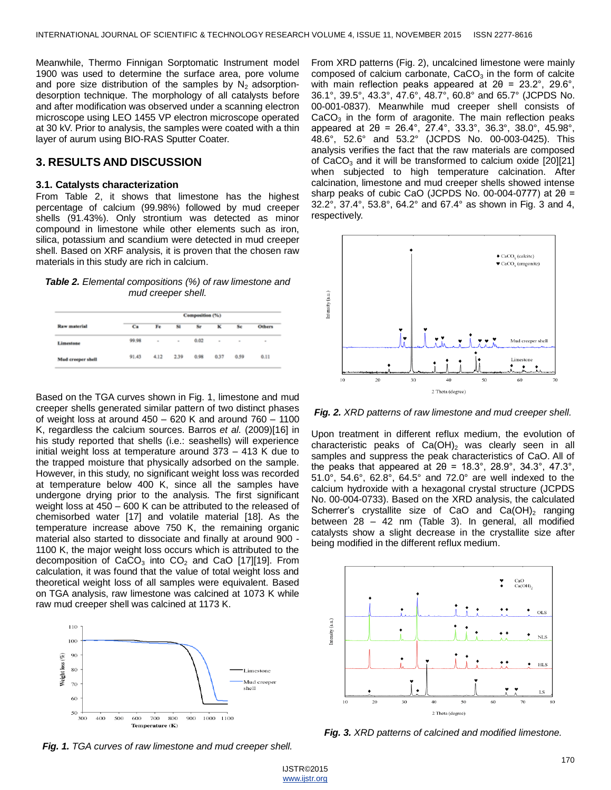Meanwhile, Thermo Finnigan Sorptomatic Instrument model 1900 was used to determine the surface area, pore volume and pore size distribution of the samples by  $N_2$  adsorptiondesorption technique. The morphology of all catalysts before and after modification was observed under a scanning electron microscope using LEO 1455 VP electron microscope operated at 30 kV. Prior to analysis, the samples were coated with a thin layer of aurum using BIO-RAS Sputter Coater.

# **3. RESULTS AND DISCUSSION**

### **3.1. Catalysts characterization**

From Table 2, it shows that limestone has the highest percentage of calcium (99.98%) followed by mud creeper shells (91.43%). Only strontium was detected as minor compound in limestone while other elements such as iron, silica, potassium and scandium were detected in mud creeper shell. Based on XRF analysis, it is proven that the chosen raw materials in this study are rich in calcium.

*Table 2. Elemental compositions (%) of raw limestone and mud creeper shell.*

|                   |       |      |                | Composition (%) |      |      |                              |
|-------------------|-------|------|----------------|-----------------|------|------|------------------------------|
| Raw material      | Ca    | Fe   | 51             | Sr              | ĸ    | Sc   | <b>Others</b>                |
| Limestone         | 99.98 | ۰    | $\blacksquare$ | 0.02            | ۰    | ٠    | $\qquad \qquad \blacksquare$ |
| Mud creeper shell | 91.43 | 4.12 | 2.39           | 0.98            | 0.37 | 0.59 | 0.11                         |

Based on the TGA curves shown in Fig. 1, limestone and mud creeper shells generated similar pattern of two distinct phases of weight loss at around 450 – 620 K and around 760 – 1100 K, regardless the calcium sources. Barros *et al.* (2009)[16] in his study reported that shells (i.e.: seashells) will experience initial weight loss at temperature around 373 – 413 K due to the trapped moisture that physically adsorbed on the sample. However, in this study, no significant weight loss was recorded at temperature below 400 K, since all the samples have undergone drying prior to the analysis. The first significant weight loss at 450 – 600 K can be attributed to the released of chemisorbed water [17] and volatile material [18]. As the temperature increase above 750 K, the remaining organic material also started to dissociate and finally at around 900 - 1100 K, the major weight loss occurs which is attributed to the decomposition of  $CaCO<sub>3</sub>$  into  $CO<sub>2</sub>$  and CaO [17][19]. From calculation, it was found that the value of total weight loss and theoretical weight loss of all samples were equivalent. Based on TGA analysis, raw limestone was calcined at 1073 K while raw mud creeper shell was calcined at 1173 K.



*Fig. 1. TGA curves of raw limestone and mud creeper shell.*

From XRD patterns (Fig. 2), uncalcined limestone were mainly composed of calcium carbonate,  $CaCO<sub>3</sub>$  in the form of calcite with main reflection peaks appeared at  $2\theta = 23.2^{\circ}$ , 29.6°, 36.1°, 39.5°, 43.3°, 47.6°, 48.7°, 60.8° and 65.7° (JCPDS No. 00-001-0837). Meanwhile mud creeper shell consists of  $CaCO<sub>3</sub>$  in the form of aragonite. The main reflection peaks appeared at 2θ = 26.4°, 27.4°, 33.3°, 36.3°, 38.0°, 45.98°, 48.6°, 52.6° and 53.2° (JCPDS No. 00-003-0425). This analysis verifies the fact that the raw materials are composed of CaCO<sub>3</sub> and it will be transformed to calcium oxide  $[20][21]$ when subjected to high temperature calcination. After calcination, limestone and mud creeper shells showed intense sharp peaks of cubic CaO (JCPDS No. 00-004-0777) at  $2\theta =$ 32.2°, 37.4°, 53.8°, 64.2° and 67.4° as shown in Fig. 3 and 4, respectively.



*Fig. 2. XRD patterns of raw limestone and mud creeper shell.*

Upon treatment in different reflux medium, the evolution of characteristic peaks of  $Ca(OH)_2$  was clearly seen in all samples and suppress the peak characteristics of CaO. All of the peaks that appeared at  $2\theta = 18.3^{\circ}$ ,  $28.9^{\circ}$ ,  $34.3^{\circ}$ ,  $47.3^{\circ}$ , 51.0°, 54.6°, 62.8°, 64.5° and 72.0° are well indexed to the calcium hydroxide with a hexagonal crystal structure (JCPDS No. 00-004-0733). Based on the XRD analysis, the calculated Scherrer's crystallite size of CaO and  $Ca(OH)_2$  ranging between 28 – 42 nm (Table 3). In general, all modified catalysts show a slight decrease in the crystallite size after being modified in the different reflux medium.



*Fig. 3. XRD patterns of calcined and modified limestone.*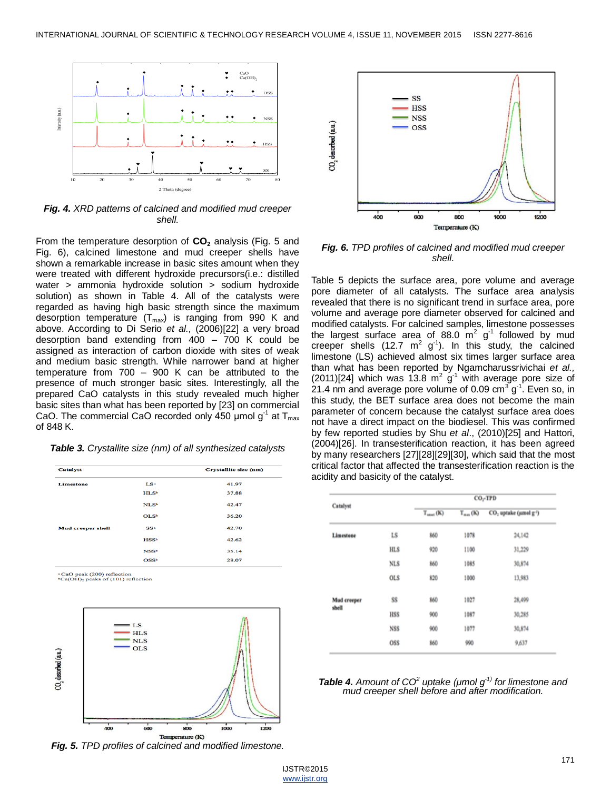

*Fig. 4. XRD patterns of calcined and modified mud creeper shell.*

From the temperature desorption of **CO<sup>2</sup>** analysis (Fig. 5 and Fig. 6), calcined limestone and mud creeper shells have shown a remarkable increase in basic sites amount when they were treated with different hydroxide precursors(i.e.: distilled water > ammonia hydroxide solution > sodium hydroxide solution) as shown in Table 4. All of the catalysts were regarded as having high basic strength since the maximum desorption temperature  $(T_{max})$  is ranging from 990 K and above. According to Di Serio *et al.,* (2006)[22] a very broad desorption band extending from 400 – 700 K could be assigned as interaction of carbon dioxide with sites of weak and medium basic strength. While narrower band at higher temperature from 700 – 900 K can be attributed to the presence of much stronger basic sites. Interestingly, all the prepared CaO catalysts in this study revealed much higher basic sites than what has been reported by [23] on commercial CaO. The commercial CaO recorded only 450 µmol  $g^{-1}$  at  $T_{max}$ of 848 K.

*Table 3. Crystallite size (nm) of all synthesized catalysts*

| <b>Catalyst</b>          |                         | Crystallite size (nm) |
|--------------------------|-------------------------|-----------------------|
| <b>Limestone</b>         | LS <sup>a</sup>         | 41.97                 |
|                          | <b>HLSb</b>             | 37.88                 |
|                          | NLS <sub>b</sub>        | 42.47                 |
|                          | OLS <sub>b</sub>        | 36.20                 |
| <b>Mud creeper shell</b> | SSa                     | 42.70                 |
|                          | <b>HSSb</b>             | 42.62                 |
|                          | <b>NSS<sup>b</sup></b>  | 35.14                 |
|                          | <b>OSS</b> <sup>b</sup> | 28.07                 |

 ${}^a$ CaO peak (200) reflection<br> ${}^b$ Ca(OH)<sub>2</sub> peaks of (101) reflection



*Fig. 5. TPD profiles of calcined and modified limestone.*



*Fig. 6. TPD profiles of calcined and modified mud creeper shell.*

Table 5 depicts the surface area, pore volume and average pore diameter of all catalysts. The surface area analysis revealed that there is no significant trend in surface area, pore volume and average pore diameter observed for calcined and modified catalysts. For calcined samples, limestone possesses the largest surface area of 88.0  $m^2$  g<sup>-1</sup> followed by mud creeper shells (12.7  $m^2$  g<sup>-1</sup>). In this study, the calcined limestone (LS) achieved almost six times larger surface area than what has been reported by Ngamcharussrivichai *et al.,*  (2011)[24] which was 13.8  $m^2$  g<sup>-1</sup> with average pore size of 21.4 nm and average pore volume of 0.09 cm<sup>3</sup> g<sup>-1</sup>. Even so, in this study, the BET surface area does not become the main parameter of concern because the catalyst surface area does not have a direct impact on the biodiesel. This was confirmed by few reported studies by Shu *et al*., (2010)[25] and Hattori, (2004)[26]. In transesterification reaction, it has been agreed by many researchers [27][28][29][30], which said that the most critical factor that affected the transesterification reaction is the acidity and basicity of the catalyst.

|                      |            | $CO2$ TPD             |              |                                               |  |
|----------------------|------------|-----------------------|--------------|-----------------------------------------------|--|
| Catalyst             |            | $T_{\text{const}}(K)$ | $T_{mn}$ (K) | CO <sub>1</sub> uptake (umol g <sup>1</sup> ) |  |
| Limestone            | LS         | 860                   | 1078         | 24,142                                        |  |
|                      | <b>HLS</b> | 920                   | 1100         | 31,229                                        |  |
|                      | <b>NLS</b> | 860                   | 1085         | 30,874                                        |  |
|                      | OLS        | 820                   | 1000         | 13,983                                        |  |
| Mud creeper<br>shell | SS         | 860                   | 1027         | 28,499                                        |  |
|                      | HSS        | 900                   | 1087         | 30,285                                        |  |
|                      | <b>NSS</b> | 900                   | 1077         | 30,874                                        |  |
|                      | OSS        | 860                   | 990          | 9,637                                         |  |

*Table 4. Amount of CO<sup>2</sup> uptake (μmol g-1) for limestone and mud creeper shell before and after modification.*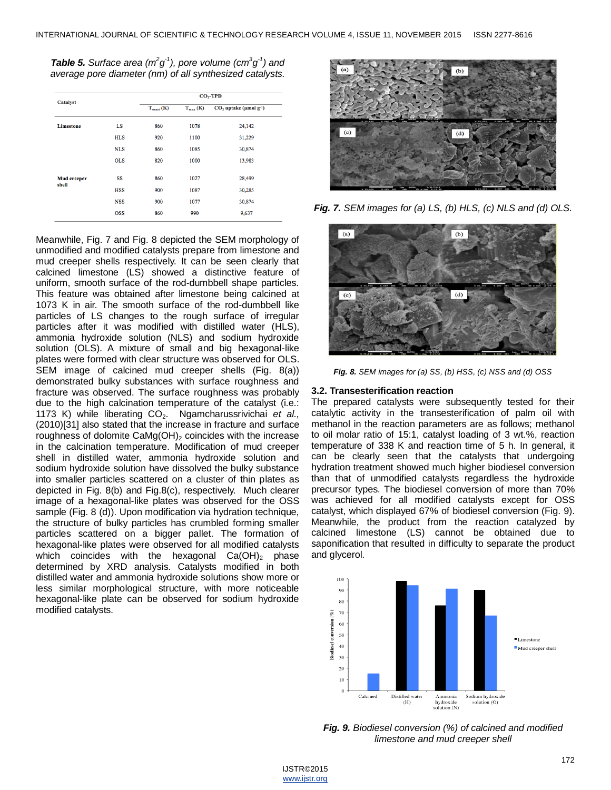*Table 5. Surface area (m<sup>2</sup>g<sup>-1</sup>), pore volume (cm<sup>3</sup>g<sup>-1</sup>) and average pore diameter (nm) of all synthesized catalysts.*

|            | $T_{onset}$ (K) |                   |                                      |
|------------|-----------------|-------------------|--------------------------------------|
|            |                 | $T_{\rm max}$ (K) | $CO2$ uptake (µmol g <sup>-1</sup> ) |
| LS         | 860             | 1078              | 24,142                               |
| <b>HLS</b> | 920             | 1100              | 31,229                               |
| <b>NLS</b> | 860             | 1085              | 30,874                               |
| <b>OLS</b> | 820             | 1000              | 13,983                               |
| SS         | 860             | 1027              | 28,499                               |
| <b>HSS</b> | 900             | 1087              | 30,285                               |
| <b>NSS</b> | 900             | 1077              | 30,874                               |
| <b>OSS</b> | 860             | 990               | 9,637                                |
|            |                 |                   |                                      |

Meanwhile, Fig. 7 and Fig. 8 depicted the SEM morphology of unmodified and modified catalysts prepare from limestone and mud creeper shells respectively. It can be seen clearly that calcined limestone (LS) showed a distinctive feature of uniform, smooth surface of the rod-dumbbell shape particles. This feature was obtained after limestone being calcined at 1073 K in air. The smooth surface of the rod-dumbbell like particles of LS changes to the rough surface of irregular particles after it was modified with distilled water (HLS), ammonia hydroxide solution (NLS) and sodium hydroxide solution (OLS). A mixture of small and big hexagonal-like plates were formed with clear structure was observed for OLS. SEM image of calcined mud creeper shells (Fig. 8(a)) demonstrated bulky substances with surface roughness and fracture was observed. The surface roughness was probably due to the high calcination temperature of the catalyst (i.e.: 1173 K) while liberating CO<sub>2</sub>. Ngamcharussrivichai et al., (2010)[31] also stated that the increase in fracture and surface roughness of dolomite  $CaMg(OH)$ <sub>2</sub> coincides with the increase in the calcination temperature. Modification of mud creeper shell in distilled water, ammonia hydroxide solution and sodium hydroxide solution have dissolved the bulky substance into smaller particles scattered on a cluster of thin plates as depicted in Fig. 8(b) and Fig.8(c), respectively. Much clearer image of a hexagonal-like plates was observed for the OSS sample (Fig. 8 (d)). Upon modification via hydration technique, the structure of bulky particles has crumbled forming smaller particles scattered on a bigger pallet. The formation of hexagonal-like plates were observed for all modified catalysts which coincides with the hexagonal  $Ca(OH)_2$  phase determined by XRD analysis. Catalysts modified in both distilled water and ammonia hydroxide solutions show more or less similar morphological structure, with more noticeable hexagonal-like plate can be observed for sodium hydroxide modified catalysts.



*Fig. 7. SEM images for (a) LS, (b) HLS, (c) NLS and (d) OLS.*



*Fig. 8. SEM images for (a) SS, (b) HSS, (c) NSS and (d) OSS*

#### **3.2. Transesterification reaction**

The prepared catalysts were subsequently tested for their catalytic activity in the transesterification of palm oil with methanol in the reaction parameters are as follows; methanol to oil molar ratio of 15:1, catalyst loading of 3 wt.%, reaction temperature of 338 K and reaction time of 5 h. In general, it can be clearly seen that the catalysts that undergoing hydration treatment showed much higher biodiesel conversion than that of unmodified catalysts regardless the hydroxide precursor types. The biodiesel conversion of more than 70% was achieved for all modified catalysts except for OSS catalyst, which displayed 67% of biodiesel conversion (Fig. 9). Meanwhile, the product from the reaction catalyzed by calcined limestone (LS) cannot be obtained due to saponification that resulted in difficulty to separate the product and glycerol.



*Fig. 9. Biodiesel conversion (%) of calcined and modified limestone and mud creeper shell*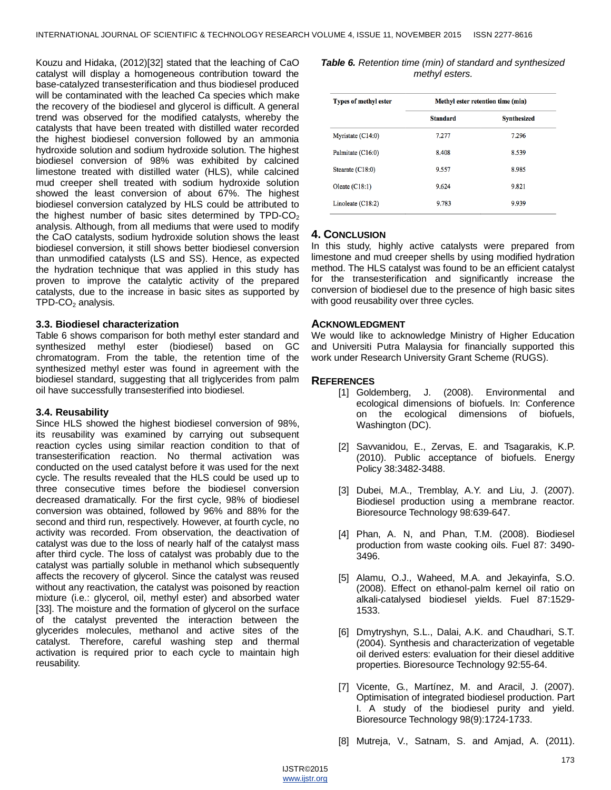Kouzu and Hidaka, (2012)[32] stated that the leaching of CaO catalyst will display a homogeneous contribution toward the base-catalyzed transesterification and thus biodiesel produced will be contaminated with the leached Ca species which make the recovery of the biodiesel and glycerol is difficult. A general trend was observed for the modified catalysts, whereby the catalysts that have been treated with distilled water recorded the highest biodiesel conversion followed by an ammonia hydroxide solution and sodium hydroxide solution. The highest biodiesel conversion of 98% was exhibited by calcined limestone treated with distilled water (HLS), while calcined mud creeper shell treated with sodium hydroxide solution showed the least conversion of about 67%. The highest biodiesel conversion catalyzed by HLS could be attributed to the highest number of basic sites determined by  $TPD-CO<sub>2</sub>$ analysis. Although, from all mediums that were used to modify the CaO catalysts, sodium hydroxide solution shows the least biodiesel conversion, it still shows better biodiesel conversion than unmodified catalysts (LS and SS). Hence, as expected the hydration technique that was applied in this study has proven to improve the catalytic activity of the prepared catalysts, due to the increase in basic sites as supported by  $TPD-CO<sub>2</sub>$  analysis.

### **3.3. Biodiesel characterization**

Table 6 shows comparison for both methyl ester standard and synthesized methyl ester (biodiesel) based on GC chromatogram. From the table, the retention time of the synthesized methyl ester was found in agreement with the biodiesel standard, suggesting that all triglycerides from palm oil have successfully transesterified into biodiesel.

#### **3.4. Reusability**

Since HLS showed the highest biodiesel conversion of 98%, its reusability was examined by carrying out subsequent reaction cycles using similar reaction condition to that of transesterification reaction. No thermal activation was conducted on the used catalyst before it was used for the next cycle. The results revealed that the HLS could be used up to three consecutive times before the biodiesel conversion decreased dramatically. For the first cycle, 98% of biodiesel conversion was obtained, followed by 96% and 88% for the second and third run, respectively. However, at fourth cycle, no activity was recorded. From observation, the deactivation of catalyst was due to the loss of nearly half of the catalyst mass after third cycle. The loss of catalyst was probably due to the catalyst was partially soluble in methanol which subsequently affects the recovery of glycerol. Since the catalyst was reused without any reactivation, the catalyst was poisoned by reaction mixture (i.e.: glycerol, oil, methyl ester) and absorbed water [33]. The moisture and the formation of glycerol on the surface of the catalyst prevented the interaction between the glycerides molecules, methanol and active sites of the catalyst. Therefore, careful washing step and thermal activation is required prior to each cycle to maintain high reusability.

*Table 6. Retention time (min) of standard and synthesized methyl esters.*

| <b>Types of methyl ester</b> | Methyl ester retention time (min) |                    |  |  |
|------------------------------|-----------------------------------|--------------------|--|--|
|                              | <b>Standard</b>                   | <b>Synthesized</b> |  |  |
| Myristate $(C14:0)$          | 7.277                             | 7.296              |  |  |
| Palmitate (C16:0)            | 8.408                             | 8.539              |  |  |
| Stearate $(C18:0)$           | 9.557                             | 8.985              |  |  |
| Oleate $(C18:1)$             | 9.624                             | 9.821              |  |  |
| Linoleate $(C18:2)$          | 9.783                             | 9.939              |  |  |

# **4. CONCLUSION**

In this study, highly active catalysts were prepared from limestone and mud creeper shells by using modified hydration method. The HLS catalyst was found to be an efficient catalyst for the transesterification and significantly increase the conversion of biodiesel due to the presence of high basic sites with good reusability over three cycles.

## **ACKNOWLEDGMENT**

We would like to acknowledge Ministry of Higher Education and Universiti Putra Malaysia for financially supported this work under Research University Grant Scheme (RUGS).

## **REFERENCES**

- [1] Goldemberg, J. (2008). Environmental and ecological dimensions of biofuels. In: Conference on the ecological dimensions of biofuels, Washington (DC).
- [2] Savvanidou, E., Zervas, E. and Tsagarakis, K.P. (2010). Public acceptance of biofuels. Energy Policy 38:3482-3488.
- [3] Dubei, M.A., Tremblay, A.Y. and Liu, J. (2007). Biodiesel production using a membrane reactor. Bioresource Technology 98:639-647.
- [4] Phan, A. N, and Phan, T.M. (2008). Biodiesel production from waste cooking oils. Fuel 87: 3490- 3496.
- [5] Alamu, O.J., Waheed, M.A. and Jekayinfa, S.O. (2008). Effect on ethanol-palm kernel oil ratio on alkali-catalysed biodiesel yields. Fuel 87:1529- 1533.
- [6] Dmytryshyn, S.L., Dalai, A.K. and Chaudhari, S.T. (2004). Synthesis and characterization of vegetable oil derived esters: evaluation for their diesel additive properties. Bioresource Technology 92:55-64.
- [7] Vicente, G., Martínez, M. and Aracil, J. (2007). Optimisation of integrated biodiesel production. Part I. A study of the biodiesel purity and yield. Bioresource Technology 98(9):1724-1733.
- [8] Mutreja, V., Satnam, S. and Amjad, A. (2011).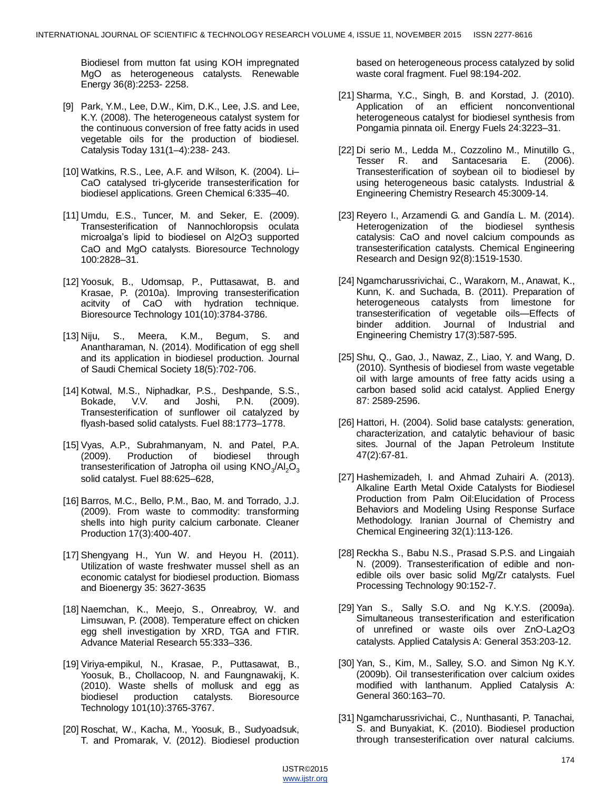Biodiesel from mutton fat using KOH impregnated MgO as heterogeneous catalysts. Renewable Energy 36(8):2253- 2258.

- [9] Park, Y.M., Lee, D.W., Kim, D.K., Lee, J.S. and Lee, K.Y. (2008). The heterogeneous catalyst system for the continuous conversion of free fatty acids in used vegetable oils for the production of biodiesel. Catalysis Today 131(1–4):238- 243.
- [10] Watkins, R.S., Lee, A.F. and Wilson, K. (2004). Li– CaO catalysed tri-glyceride transesterification for biodiesel applications. Green Chemical 6:335–40.
- [11] Umdu, E.S., Tuncer, M. and Seker, E. (2009). Transesterification of Nannochloropsis oculata microalga's lipid to biodiesel on Al2O3 supported CaO and MgO catalysts. Bioresource Technology 100:2828–31.
- [12] Yoosuk, B., Udomsap, P., Puttasawat, B. and Krasae, P. (2010a). Improving transesterification acitvity of CaO with hydration technique. Bioresource Technology 101(10):3784-3786.
- [13] Niju, S., Meera, K.M., Begum, S. and Anantharaman, N. (2014). Modification of egg shell and its application in biodiesel production. Journal of Saudi Chemical Society 18(5):702-706.
- [14] Kotwal, M.S., Niphadkar, P.S., Deshpande, S.S., Bokade, V.V. and Joshi, P.N. (2009). Transesterification of sunflower oil catalyzed by flyash-based solid catalysts. Fuel 88:1773–1778.
- [15] Vyas, A.P., Subrahmanyam, N. and Patel, P.A. (2009). Production of biodiesel through transesterification of Jatropha oil using  $\mathsf{KNO}_{3}/\mathsf{Al}_{2}\mathsf{O}_{3}$ solid catalyst. Fuel 88:625–628,
- [16] Barros, M.C., Bello, P.M., Bao, M. and Torrado, J.J. (2009). From waste to commodity: transforming shells into high purity calcium carbonate. Cleaner Production 17(3):400-407.
- [17] Shengyang H., Yun W. and Heyou H. (2011). Utilization of waste freshwater mussel shell as an economic catalyst for biodiesel production. Biomass and Bioenergy 35: 3627-3635
- [18] Naemchan, K., Meejo, S., Onreabroy, W. and Limsuwan, P. (2008). Temperature effect on chicken egg shell investigation by XRD, TGA and FTIR. Advance Material Research 55:333–336.
- [19] Viriya-empikul, N., Krasae, P., Puttasawat, B., Yoosuk, B., Chollacoop, N. and Faungnawakij, K. (2010). Waste shells of mollusk and egg as biodiesel production catalysts. Bioresource Technology 101(10):3765-3767.
- [20] Roschat, W., Kacha, M., Yoosuk, B., Sudyoadsuk, T. and Promarak, V. (2012). Biodiesel production

based on heterogeneous process catalyzed by solid waste coral fragment. Fuel 98:194-202.

- [21] Sharma, Y.C., Singh, B. and Korstad, J. (2010). Application of an efficient nonconventional heterogeneous catalyst for biodiesel synthesis from Pongamia pinnata oil. Energy Fuels 24:3223–31.
- [22] Di serio M., Ledda M., Cozzolino M., Minutillo G., Tesser R. and Santacesaria E. (2006). Transesterification of soybean oil to biodiesel by using heterogeneous basic catalysts. Industrial & Engineering Chemistry Research 45:3009-14.
- [23] Reyero I., Arzamendi G. and Gandía L. M. (2014). Heterogenization of the biodiesel synthesis catalysis: CaO and novel calcium compounds as transesterification catalysts. Chemical Engineering Research and Design 92(8):1519-1530.
- [24] Ngamcharussrivichai, C., Warakorn, M., Anawat, K., Kunn, K. and Suchada, B. (2011). Preparation of heterogeneous catalysts from limestone for transesterification of vegetable oils—Effects of binder addition. Journal of Industrial and Engineering Chemistry 17(3):587-595.
- [25] Shu, Q., Gao, J., Nawaz, Z., Liao, Y. and Wang, D. (2010). Synthesis of biodiesel from waste vegetable oil with large amounts of free fatty acids using a carbon based solid acid catalyst. Applied Energy 87: 2589-2596.
- [26] Hattori, H. (2004). Solid base catalysts: generation, characterization, and catalytic behaviour of basic sites. Journal of the Japan Petroleum Institute 47(2):67-81.
- [27] Hashemizadeh, I. and Ahmad Zuhairi A. (2013). Alkaline Earth Metal Oxide Catalysts for Biodiesel Production from Palm Oil:Elucidation of Process Behaviors and Modeling Using Response Surface Methodology. Iranian Journal of Chemistry and Chemical Engineering 32(1):113-126.
- [28] Reckha S., Babu N.S., Prasad S.P.S. and Lingaiah N. (2009). Transesterification of edible and nonedible oils over basic solid Mg/Zr catalysts. Fuel Processing Technology 90:152-7.
- [29] Yan S., Sally S.O. and Ng K.Y.S. (2009a). Simultaneous transesterification and esterification of unrefined or waste oils over ZnO-La2O3 catalysts. Applied Catalysis A: General 353:203-12.
- [30] Yan, S., Kim, M., Salley, S.O. and Simon Ng K.Y. (2009b). Oil transesterification over calcium oxides modified with lanthanum. Applied Catalysis A: General 360:163–70.
- [31] Ngamcharussrivichai, C., Nunthasanti, P. Tanachai, S. and Bunyakiat, K. (2010). Biodiesel production through transesterification over natural calciums.